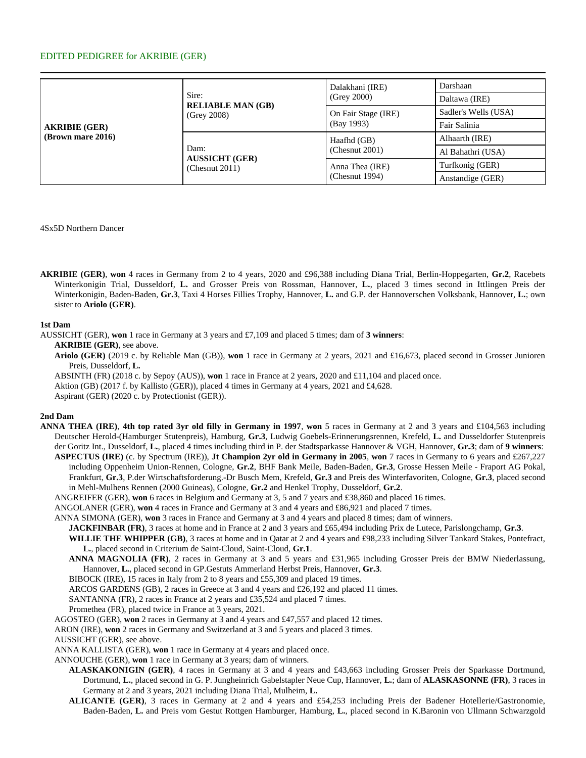# EDITED PEDIGREE for AKRIBIE (GER)

| <b>AKRIBIE (GER)</b><br>(Brown mare 2016) | Sire:<br><b>RELIABLE MAN (GB)</b><br>(Grev 2008) | Dalakhani (IRE)<br>(Grey 2000)    | Darshaan             |
|-------------------------------------------|--------------------------------------------------|-----------------------------------|----------------------|
|                                           |                                                  |                                   | Daltawa (IRE)        |
|                                           |                                                  | On Fair Stage (IRE)<br>(Bay 1993) | Sadler's Wells (USA) |
|                                           |                                                  |                                   | Fair Salinia         |
|                                           | Dam:<br><b>AUSSICHT (GER)</b><br>(Chemut 2011)   | Haafhd (GB)<br>(Chemut 2001)      | Alhaarth (IRE)       |
|                                           |                                                  |                                   | Al Bahathri (USA)    |
|                                           |                                                  | Anna Thea (IRE)<br>(Chemut 1994)  | Turfkonig (GER)      |
|                                           |                                                  |                                   | Anstandige (GER)     |

4Sx5D Northern Dancer

**AKRIBIE (GER)**, **won** 4 races in Germany from 2 to 4 years, 2020 and £96,388 including Diana Trial, Berlin-Hoppegarten, **Gr.2**, Racebets Winterkonigin Trial, Dusseldorf, **L.** and Grosser Preis von Rossman, Hannover, **L.**, placed 3 times second in Ittlingen Preis der Winterkonigin, Baden-Baden, **Gr.3**, Taxi 4 Horses Fillies Trophy, Hannover, **L.** and G.P. der Hannoverschen Volksbank, Hannover, **L.**; own sister to **Ariolo (GER)**.

### **1st Dam**

AUSSICHT (GER), **won** 1 race in Germany at 3 years and £7,109 and placed 5 times; dam of **3 winners**:

**AKRIBIE (GER)**, see above.

**Ariolo (GER)** (2019 c. by Reliable Man (GB)), **won** 1 race in Germany at 2 years, 2021 and £16,673, placed second in Grosser Junioren Preis, Dusseldorf, **L.**

ABSINTH (FR) (2018 c. by Sepoy (AUS)), **won** 1 race in France at 2 years, 2020 and £11,104 and placed once.

Aktion (GB) (2017 f. by Kallisto (GER)), placed 4 times in Germany at 4 years, 2021 and £4,628.

Aspirant (GER) (2020 c. by Protectionist (GER)).

## **2nd Dam**

**ANNA THEA (IRE)**, **4th top rated 3yr old filly in Germany in 1997**, **won** 5 races in Germany at 2 and 3 years and £104,563 including Deutscher Herold-(Hamburger Stutenpreis), Hamburg, **Gr.3**, Ludwig Goebels-Erinnerungsrennen, Krefeld, **L.** and Dusseldorfer Stutenpreis der Goritz Int., Dusseldorf, **L.**, placed 4 times including third in P. der Stadtsparkasse Hannover & VGH, Hannover, **Gr.3**; dam of **9 winners**: **ASPECTUS (IRE)** (c. by Spectrum (IRE)), **Jt Champion 2yr old in Germany in 2005**, **won** 7 races in Germany to 6 years and £267,227

including Oppenheim Union-Rennen, Cologne, **Gr.2**, BHF Bank Meile, Baden-Baden, **Gr.3**, Grosse Hessen Meile - Fraport AG Pokal, Frankfurt, **Gr.3**, P.der Wirtschaftsforderung.-Dr Busch Mem, Krefeld, **Gr.3** and Preis des Winterfavoriten, Cologne, **Gr.3**, placed second in Mehl-Mulhens Rennen (2000 Guineas), Cologne, **Gr.2** and Henkel Trophy, Dusseldorf, **Gr.2**.

ANGREIFER (GER), **won** 6 races in Belgium and Germany at 3, 5 and 7 years and £38,860 and placed 16 times.

ANGOLANER (GER), **won** 4 races in France and Germany at 3 and 4 years and £86,921 and placed 7 times.

- ANNA SIMONA (GER), **won** 3 races in France and Germany at 3 and 4 years and placed 8 times; dam of winners.
	- **JACKFINBAR (FR)**, 3 races at home and in France at 2 and 3 years and £65,494 including Prix de Lutece, Parislongchamp, **Gr.3**.
		- **WILLIE THE WHIPPER (GB)**, 3 races at home and in Qatar at 2 and 4 years and £98,233 including Silver Tankard Stakes, Pontefract, **L.**, placed second in Criterium de Saint-Cloud, Saint-Cloud, **Gr.1**.
	- **ANNA MAGNOLIA (FR)**, 2 races in Germany at 3 and 5 years and £31,965 including Grosser Preis der BMW Niederlassung, Hannover, **L.**, placed second in GP.Gestuts Ammerland Herbst Preis, Hannover, **Gr.3**.

BIBOCK (IRE), 15 races in Italy from 2 to 8 years and £55,309 and placed 19 times.

- ARCOS GARDENS (GB), 2 races in Greece at 3 and 4 years and £26,192 and placed 11 times.
- SANTANNA (FR), 2 races in France at 2 years and £35,524 and placed 7 times.
- Promethea (FR), placed twice in France at 3 years, 2021.
- AGOSTEO (GER), **won** 2 races in Germany at 3 and 4 years and £47,557 and placed 12 times.

ARON (IRE), **won** 2 races in Germany and Switzerland at 3 and 5 years and placed 3 times.

AUSSICHT (GER), see above.

ANNA KALLISTA (GER), **won** 1 race in Germany at 4 years and placed once.

ANNOUCHE (GER), **won** 1 race in Germany at 3 years; dam of winners.

- **ALASKAKONIGIN (GER)**, 4 races in Germany at 3 and 4 years and £43,663 including Grosser Preis der Sparkasse Dortmund, Dortmund, **L.**, placed second in G. P. Jungheinrich Gabelstapler Neue Cup, Hannover, **L.**; dam of **ALASKASONNE (FR)**, 3 races in Germany at 2 and 3 years, 2021 including Diana Trial, Mulheim, **L.**
- **ALICANTE (GER)**, 3 races in Germany at 2 and 4 years and £54,253 including Preis der Badener Hotellerie/Gastronomie, Baden-Baden, **L.** and Preis vom Gestut Rottgen Hamburger, Hamburg, **L.**, placed second in K.Baronin von Ullmann Schwarzgold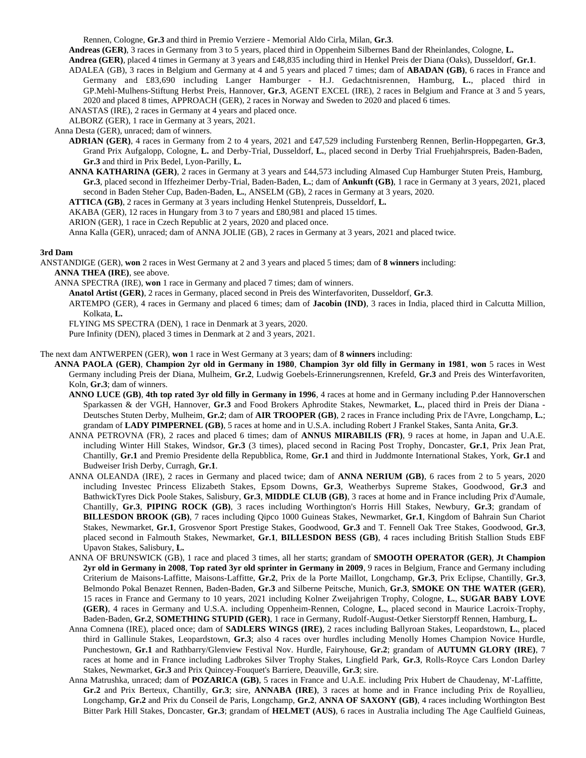Rennen, Cologne, **Gr.3** and third in Premio Verziere - Memorial Aldo Cirla, Milan, **Gr.3**.

**Andreas (GER)**, 3 races in Germany from 3 to 5 years, placed third in Oppenheim Silbernes Band der Rheinlandes, Cologne, **L.**

**Andrea (GER)**, placed 4 times in Germany at 3 years and £48,835 including third in Henkel Preis der Diana (Oaks), Dusseldorf, **Gr.1**.

- ADALEA (GB), 3 races in Belgium and Germany at 4 and 5 years and placed 7 times; dam of **ABADAN (GB)**, 6 races in France and Germany and £83,690 including Langer Hamburger - H.J. Gedachtnisrennen, Hamburg, **L.**, placed third in GP.Mehl-Mulhens-Stiftung Herbst Preis, Hannover, **Gr.3**, AGENT EXCEL (IRE), 2 races in Belgium and France at 3 and 5 years, 2020 and placed 8 times, APPROACH (GER), 2 races in Norway and Sweden to 2020 and placed 6 times.
- ANASTAS (IRE), 2 races in Germany at 4 years and placed once.
- ALBORZ (GER), 1 race in Germany at 3 years, 2021.

Anna Desta (GER), unraced; dam of winners.

- **ADRIAN (GER)**, 4 races in Germany from 2 to 4 years, 2021 and £47,529 including Furstenberg Rennen, Berlin-Hoppegarten, **Gr.3**, Grand Prix Aufgalopp, Cologne, **L.** and Derby-Trial, Dusseldorf, **L.**, placed second in Derby Trial Fruehjahrspreis, Baden-Baden, **Gr.3** and third in Prix Bedel, Lyon-Parilly, **L.**
- **ANNA KATHARINA (GER)**, 2 races in Germany at 3 years and £44,573 including Almased Cup Hamburger Stuten Preis, Hamburg, **Gr.3**, placed second in Iffezheimer Derby-Trial, Baden-Baden, **L.**; dam of **Ankunft (GB)**, 1 race in Germany at 3 years, 2021, placed second in Baden Steher Cup, Baden-Baden, **L.**, ANSELM (GB), 2 races in Germany at 3 years, 2020.
- **ATTICA (GB)**, 2 races in Germany at 3 years including Henkel Stutenpreis, Dusseldorf, **L.**
- AKABA (GER), 12 races in Hungary from 3 to 7 years and £80,981 and placed 15 times.
- ARION (GER), 1 race in Czech Republic at 2 years, 2020 and placed once.
- Anna Kalla (GER), unraced; dam of ANNA JOLIE (GB), 2 races in Germany at 3 years, 2021 and placed twice.

### **3rd Dam**

- ANSTANDIGE (GER), **won** 2 races in West Germany at 2 and 3 years and placed 5 times; dam of **8 winners** including: **ANNA THEA (IRE)**, see above.
	- ANNA SPECTRA (IRE), **won** 1 race in Germany and placed 7 times; dam of winners.
		- **Anatol Artist (GER)**, 2 races in Germany, placed second in Preis des Winterfavoriten, Dusseldorf, **Gr.3**.
		- ARTEMPO (GER), 4 races in Germany and placed 6 times; dam of **Jacobin (IND)**, 3 races in India, placed third in Calcutta Million, Kolkata, **L.**

FLYING MS SPECTRA (DEN), 1 race in Denmark at 3 years, 2020.

Pure Infinity (DEN), placed 3 times in Denmark at 2 and 3 years, 2021.

The next dam ANTWERPEN (GER), **won** 1 race in West Germany at 3 years; dam of **8 winners** including:

- **ANNA PAOLA (GER)**, **Champion 2yr old in Germany in 1980**, **Champion 3yr old filly in Germany in 1981**, **won** 5 races in West Germany including Preis der Diana, Mulheim, **Gr.2**, Ludwig Goebels-Erinnerungsrennen, Krefeld, **Gr.3** and Preis des Winterfavoriten, Koln, **Gr.3**; dam of winners.
	- **ANNO LUCE (GB)**, **4th top rated 3yr old filly in Germany in 1996**, 4 races at home and in Germany including P.der Hannoverschen Sparkassen & der VGH, Hannover, **Gr.3** and Food Brokers Aphrodite Stakes, Newmarket, **L.**, placed third in Preis der Diana - Deutsches Stuten Derby, Mulheim, **Gr.2**; dam of **AIR TROOPER (GB)**, 2 races in France including Prix de l'Avre, Longchamp, **L.**; grandam of **LADY PIMPERNEL (GB)**, 5 races at home and in U.S.A. including Robert J Frankel Stakes, Santa Anita, **Gr.3**.
	- ANNA PETROVNA (FR), 2 races and placed 6 times; dam of **ANNUS MIRABILIS (FR)**, 9 races at home, in Japan and U.A.E. including Winter Hill Stakes, Windsor, **Gr.3** (3 times), placed second in Racing Post Trophy, Doncaster, **Gr.1**, Prix Jean Prat, Chantilly, **Gr.1** and Premio Presidente della Repubblica, Rome, **Gr.1** and third in Juddmonte International Stakes, York, **Gr.1** and Budweiser Irish Derby, Curragh, **Gr.1**.
	- ANNA OLEANDA (IRE), 2 races in Germany and placed twice; dam of **ANNA NERIUM (GB)**, 6 races from 2 to 5 years, 2020 including Investec Princess Elizabeth Stakes, Epsom Downs, **Gr.3**, Weatherbys Supreme Stakes, Goodwood, **Gr.3** and BathwickTyres Dick Poole Stakes, Salisbury, **Gr.3**, **MIDDLE CLUB (GB)**, 3 races at home and in France including Prix d'Aumale, Chantilly, **Gr.3**, **PIPING ROCK (GB)**, 3 races including Worthington's Horris Hill Stakes, Newbury, **Gr.3**; grandam of **BILLESDON BROOK (GB)**, 7 races including Qipco 1000 Guineas Stakes, Newmarket, **Gr.1**, Kingdom of Bahrain Sun Chariot Stakes, Newmarket, **Gr.1**, Grosvenor Sport Prestige Stakes, Goodwood, **Gr.3** and T. Fennell Oak Tree Stakes, Goodwood, **Gr.3**, placed second in Falmouth Stakes, Newmarket, **Gr.1**, **BILLESDON BESS (GB)**, 4 races including British Stallion Studs EBF Upavon Stakes, Salisbury, **L.**
	- ANNA OF BRUNSWICK (GB), 1 race and placed 3 times, all her starts; grandam of **SMOOTH OPERATOR (GER)**, **Jt Champion 2yr old in Germany in 2008**, **Top rated 3yr old sprinter in Germany in 2009**, 9 races in Belgium, France and Germany including Criterium de Maisons-Laffitte, Maisons-Laffitte, **Gr.2**, Prix de la Porte Maillot, Longchamp, **Gr.3**, Prix Eclipse, Chantilly, **Gr.3**, Belmondo Pokal Benazet Rennen, Baden-Baden, **Gr.3** and Silberne Peitsche, Munich, **Gr.3**, **SMOKE ON THE WATER (GER)**, 15 races in France and Germany to 10 years, 2021 including Kolner Zweijahrigen Trophy, Cologne, **L.**, **SUGAR BABY LOVE (GER)**, 4 races in Germany and U.S.A. including Oppenheim-Rennen, Cologne, **L.**, placed second in Maurice Lacroix-Trophy, Baden-Baden, **Gr.2**, **SOMETHING STUPID (GER)**, 1 race in Germany, Rudolf-August-Oetker Sierstorpff Rennen, Hamburg, **L.**
	- Anna Comnena (IRE), placed once; dam of **SADLERS WINGS (IRE)**, 2 races including Ballyroan Stakes, Leopardstown, **L.**, placed third in Gallinule Stakes, Leopardstown, **Gr.3**; also 4 races over hurdles including Menolly Homes Champion Novice Hurdle, Punchestown, **Gr.1** and Rathbarry/Glenview Festival Nov. Hurdle, Fairyhouse, **Gr.2**; grandam of **AUTUMN GLORY (IRE)**, 7 races at home and in France including Ladbrokes Silver Trophy Stakes, Lingfield Park, **Gr.3**, Rolls-Royce Cars London Darley Stakes, Newmarket, **Gr.3** and Prix Quincey-Fouquet's Barriere, Deauville, **Gr.3**; sire.
	- Anna Matrushka, unraced; dam of **POZARICA (GB)**, 5 races in France and U.A.E. including Prix Hubert de Chaudenay, M'-Laffitte, **Gr.2** and Prix Berteux, Chantilly, **Gr.3**; sire, **ANNABA (IRE)**, 3 races at home and in France including Prix de Royallieu, Longchamp, **Gr.2** and Prix du Conseil de Paris, Longchamp, **Gr.2**, **ANNA OF SAXONY (GB)**, 4 races including Worthington Best Bitter Park Hill Stakes, Doncaster, **Gr.3**; grandam of **HELMET (AUS)**, 6 races in Australia including The Age Caulfield Guineas,